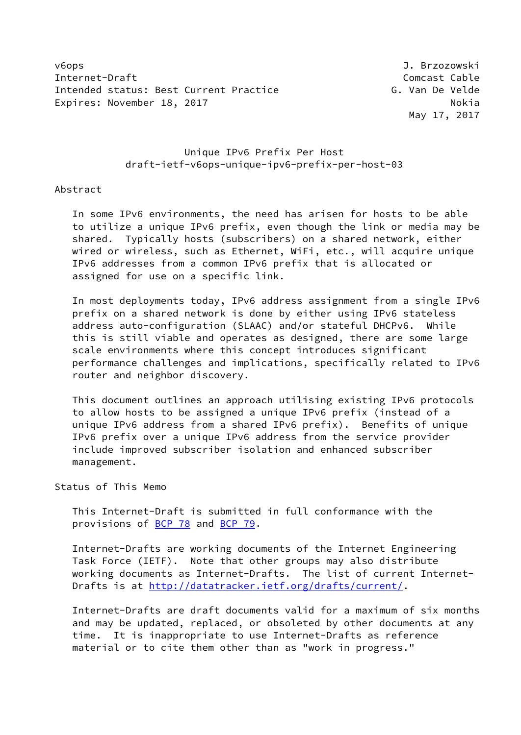v6ops J. Brzozowski Internet-Draft Comcast Cable Intended status: Best Current Practice The Communist C. Van De Velde Expires: November 18, 2017 Nokia

May 17, 2017

# Unique IPv6 Prefix Per Host draft-ietf-v6ops-unique-ipv6-prefix-per-host-03

## Abstract

 In some IPv6 environments, the need has arisen for hosts to be able to utilize a unique IPv6 prefix, even though the link or media may be shared. Typically hosts (subscribers) on a shared network, either wired or wireless, such as Ethernet, WiFi, etc., will acquire unique IPv6 addresses from a common IPv6 prefix that is allocated or assigned for use on a specific link.

 In most deployments today, IPv6 address assignment from a single IPv6 prefix on a shared network is done by either using IPv6 stateless address auto-configuration (SLAAC) and/or stateful DHCPv6. While this is still viable and operates as designed, there are some large scale environments where this concept introduces significant performance challenges and implications, specifically related to IPv6 router and neighbor discovery.

 This document outlines an approach utilising existing IPv6 protocols to allow hosts to be assigned a unique IPv6 prefix (instead of a unique IPv6 address from a shared IPv6 prefix). Benefits of unique IPv6 prefix over a unique IPv6 address from the service provider include improved subscriber isolation and enhanced subscriber management.

### Status of This Memo

 This Internet-Draft is submitted in full conformance with the provisions of [BCP 78](https://datatracker.ietf.org/doc/pdf/bcp78) and [BCP 79](https://datatracker.ietf.org/doc/pdf/bcp79).

 Internet-Drafts are working documents of the Internet Engineering Task Force (IETF). Note that other groups may also distribute working documents as Internet-Drafts. The list of current Internet- Drafts is at<http://datatracker.ietf.org/drafts/current/>.

 Internet-Drafts are draft documents valid for a maximum of six months and may be updated, replaced, or obsoleted by other documents at any time. It is inappropriate to use Internet-Drafts as reference material or to cite them other than as "work in progress."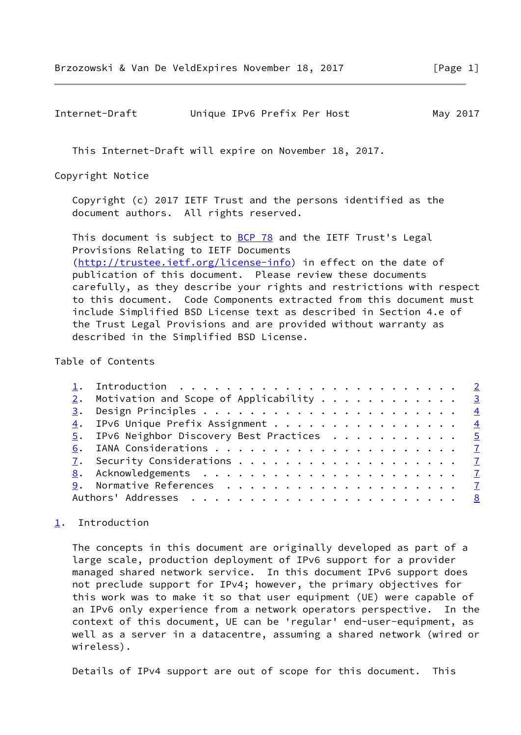<span id="page-1-1"></span>

| Internet-Draft | Unique IPv6 Prefix Per Host | May 2017 |
|----------------|-----------------------------|----------|
|----------------|-----------------------------|----------|

This Internet-Draft will expire on November 18, 2017.

Copyright Notice

 Copyright (c) 2017 IETF Trust and the persons identified as the document authors. All rights reserved.

This document is subject to **[BCP 78](https://datatracker.ietf.org/doc/pdf/bcp78)** and the IETF Trust's Legal Provisions Relating to IETF Documents [\(http://trustee.ietf.org/license-info](http://trustee.ietf.org/license-info)) in effect on the date of publication of this document. Please review these documents carefully, as they describe your rights and restrictions with respect to this document. Code Components extracted from this document must include Simplified BSD License text as described in Section 4.e of the Trust Legal Provisions and are provided without warranty as described in the Simplified BSD License.

#### Table of Contents

|  | $2.$ Motivation and Scope of Applicability 3 |  |
|--|----------------------------------------------|--|
|  |                                              |  |
|  | 4. IPv6 Unique Prefix Assignment 4           |  |
|  | 5. IPv6 Neighbor Discovery Best Practices 5  |  |
|  |                                              |  |
|  |                                              |  |
|  |                                              |  |
|  |                                              |  |
|  |                                              |  |
|  |                                              |  |

# <span id="page-1-0"></span>[1](#page-1-0). Introduction

 The concepts in this document are originally developed as part of a large scale, production deployment of IPv6 support for a provider managed shared network service. In this document IPv6 support does not preclude support for IPv4; however, the primary objectives for this work was to make it so that user equipment (UE) were capable of an IPv6 only experience from a network operators perspective. In the context of this document, UE can be 'regular' end-user-equipment, as well as a server in a datacentre, assuming a shared network (wired or wireless).

Details of IPv4 support are out of scope for this document. This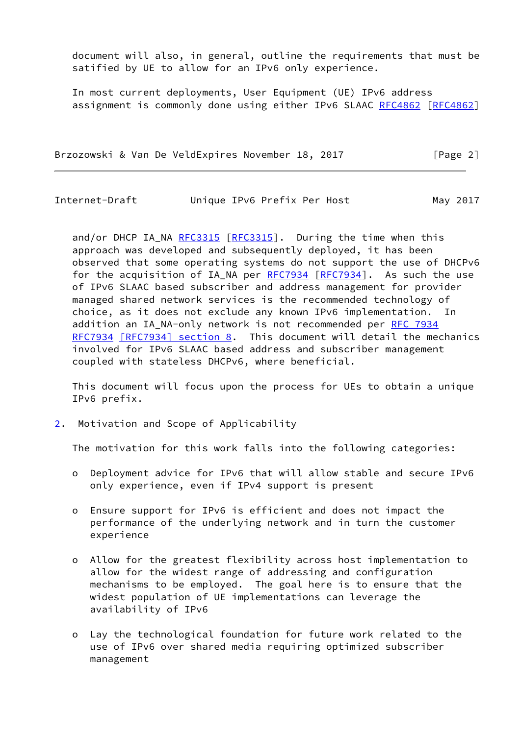document will also, in general, outline the requirements that must be satified by UE to allow for an IPv6 only experience.

 In most current deployments, User Equipment (UE) IPv6 address assignment is commonly done using either IPv6 SLAAC [RFC4862 \[RFC4862](https://datatracker.ietf.org/doc/pdf/rfc4862)]

Brzozowski & Van De VeldExpires November 18, 2017 [Page 2]

<span id="page-2-1"></span>Internet-Draft Unique IPv6 Prefix Per Host May 2017

and/or DHCP IA\_NA [RFC3315](https://datatracker.ietf.org/doc/pdf/rfc3315) [[RFC3315](https://datatracker.ietf.org/doc/pdf/rfc3315)]. During the time when this approach was developed and subsequently deployed, it has been observed that some operating systems do not support the use of DHCPv6 for the acquisition of IA\_NA per [RFC7934](https://datatracker.ietf.org/doc/pdf/rfc7934) [\[RFC7934](https://datatracker.ietf.org/doc/pdf/rfc7934)]. As such the use of IPv6 SLAAC based subscriber and address management for provider managed shared network services is the recommended technology of choice, as it does not exclude any known IPv6 implementation. In addition an IA\_NA-only network is not recommended per [RFC 7934](https://datatracker.ietf.org/doc/pdf/rfc7934) [RFC7934](https://datatracker.ietf.org/doc/pdf/rfc7934) [\[RFC7934\] section](https://datatracker.ietf.org/doc/pdf/rfc7934#section-8) 8. This document will detail the mechanics involved for IPv6 SLAAC based address and subscriber management coupled with stateless DHCPv6, where beneficial.

 This document will focus upon the process for UEs to obtain a unique IPv6 prefix.

<span id="page-2-0"></span>[2](#page-2-0). Motivation and Scope of Applicability

The motivation for this work falls into the following categories:

- o Deployment advice for IPv6 that will allow stable and secure IPv6 only experience, even if IPv4 support is present
- o Ensure support for IPv6 is efficient and does not impact the performance of the underlying network and in turn the customer experience
- o Allow for the greatest flexibility across host implementation to allow for the widest range of addressing and configuration mechanisms to be employed. The goal here is to ensure that the widest population of UE implementations can leverage the availability of IPv6
- o Lay the technological foundation for future work related to the use of IPv6 over shared media requiring optimized subscriber management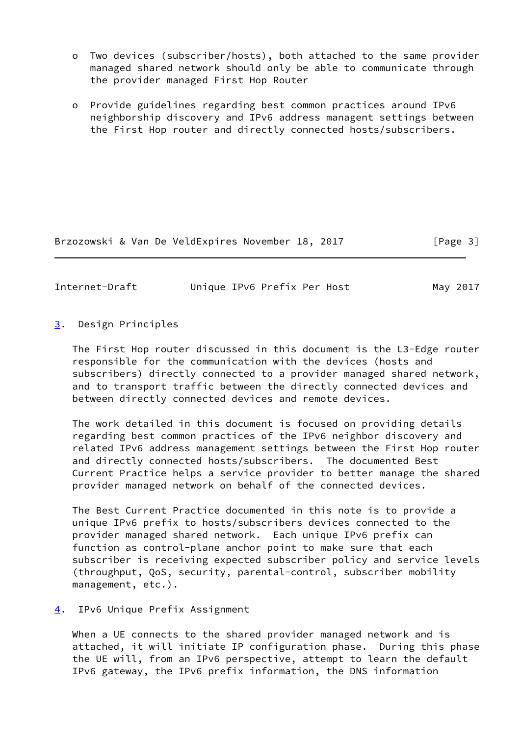- o Two devices (subscriber/hosts), both attached to the same provider managed shared network should only be able to communicate through the provider managed First Hop Router
- o Provide guidelines regarding best common practices around IPv6 neighborship discovery and IPv6 address managent settings between the First Hop router and directly connected hosts/subscribers.

Brzozowski & Van De VeldExpires November 18, 2017 [Page 3]

<span id="page-3-1"></span>Internet-Draft Unique IPv6 Prefix Per Host May 2017

## <span id="page-3-0"></span>[3](#page-3-0). Design Principles

 The First Hop router discussed in this document is the L3-Edge router responsible for the communication with the devices (hosts and subscribers) directly connected to a provider managed shared network, and to transport traffic between the directly connected devices and between directly connected devices and remote devices.

 The work detailed in this document is focused on providing details regarding best common practices of the IPv6 neighbor discovery and related IPv6 address management settings between the First Hop router and directly connected hosts/subscribers. The documented Best Current Practice helps a service provider to better manage the shared provider managed network on behalf of the connected devices.

 The Best Current Practice documented in this note is to provide a unique IPv6 prefix to hosts/subscribers devices connected to the provider managed shared network. Each unique IPv6 prefix can function as control-plane anchor point to make sure that each subscriber is receiving expected subscriber policy and service levels (throughput, QoS, security, parental-control, subscriber mobility management, etc.).

### <span id="page-3-2"></span>[4](#page-3-2). IPv6 Unique Prefix Assignment

 When a UE connects to the shared provider managed network and is attached, it will initiate IP configuration phase. During this phase the UE will, from an IPv6 perspective, attempt to learn the default IPv6 gateway, the IPv6 prefix information, the DNS information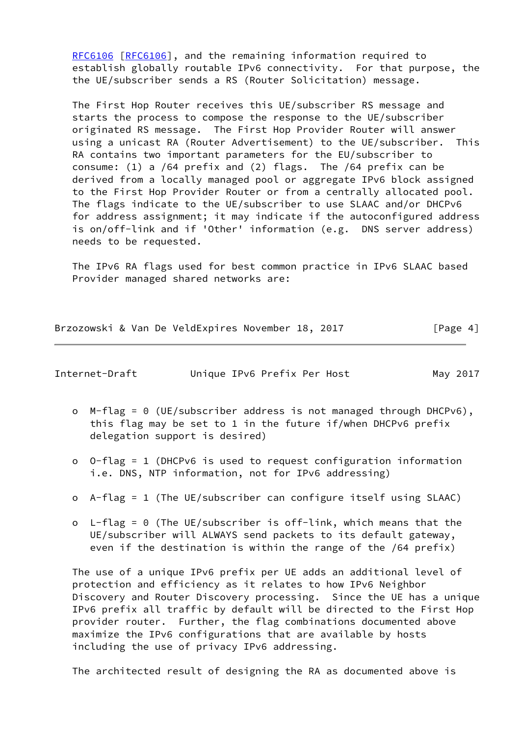[RFC6106](https://datatracker.ietf.org/doc/pdf/rfc6106) [\[RFC6106](https://datatracker.ietf.org/doc/pdf/rfc6106)], and the remaining information required to establish globally routable IPv6 connectivity. For that purpose, the the UE/subscriber sends a RS (Router Solicitation) message.

 The First Hop Router receives this UE/subscriber RS message and starts the process to compose the response to the UE/subscriber originated RS message. The First Hop Provider Router will answer using a unicast RA (Router Advertisement) to the UE/subscriber. This RA contains two important parameters for the EU/subscriber to consume: (1) a /64 prefix and (2) flags. The /64 prefix can be derived from a locally managed pool or aggregate IPv6 block assigned to the First Hop Provider Router or from a centrally allocated pool. The flags indicate to the UE/subscriber to use SLAAC and/or DHCPv6 for address assignment; it may indicate if the autoconfigured address is on/off-link and if 'Other' information (e.g. DNS server address) needs to be requested.

 The IPv6 RA flags used for best common practice in IPv6 SLAAC based Provider managed shared networks are:

Brzozowski & Van De VeldExpires November 18, 2017 [Page 4]

<span id="page-4-0"></span>Internet-Draft Unique IPv6 Prefix Per Host May 2017

- o M-flag = 0 (UE/subscriber address is not managed through DHCPv6), this flag may be set to 1 in the future if/when DHCPv6 prefix delegation support is desired)
- o O-flag = 1 (DHCPv6 is used to request configuration information i.e. DNS, NTP information, not for IPv6 addressing)
- o A-flag = 1 (The UE/subscriber can configure itself using SLAAC)
- o L-flag = 0 (The UE/subscriber is off-link, which means that the UE/subscriber will ALWAYS send packets to its default gateway, even if the destination is within the range of the /64 prefix)

 The use of a unique IPv6 prefix per UE adds an additional level of protection and efficiency as it relates to how IPv6 Neighbor Discovery and Router Discovery processing. Since the UE has a unique IPv6 prefix all traffic by default will be directed to the First Hop provider router. Further, the flag combinations documented above maximize the IPv6 configurations that are available by hosts including the use of privacy IPv6 addressing.

The architected result of designing the RA as documented above is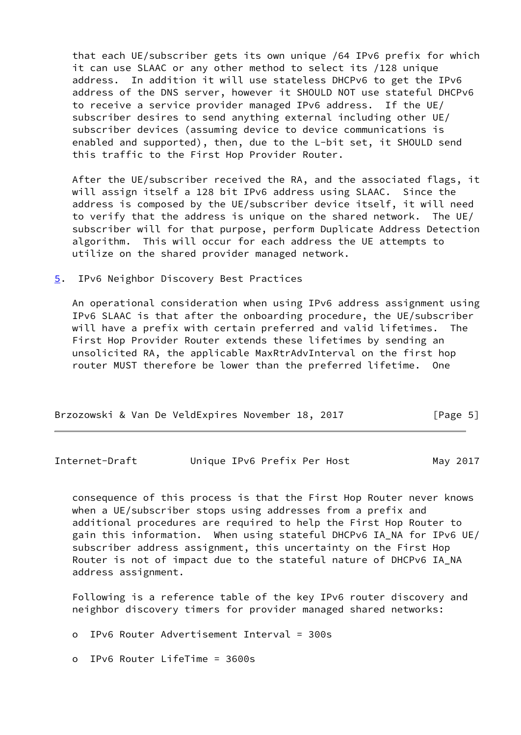that each UE/subscriber gets its own unique /64 IPv6 prefix for which it can use SLAAC or any other method to select its /128 unique address. In addition it will use stateless DHCPv6 to get the IPv6 address of the DNS server, however it SHOULD NOT use stateful DHCPv6 to receive a service provider managed IPv6 address. If the UE/ subscriber desires to send anything external including other UE/ subscriber devices (assuming device to device communications is enabled and supported), then, due to the L-bit set, it SHOULD send this traffic to the First Hop Provider Router.

 After the UE/subscriber received the RA, and the associated flags, it will assign itself a 128 bit IPv6 address using SLAAC. Since the address is composed by the UE/subscriber device itself, it will need to verify that the address is unique on the shared network. The UE/ subscriber will for that purpose, perform Duplicate Address Detection algorithm. This will occur for each address the UE attempts to utilize on the shared provider managed network.

<span id="page-5-0"></span>[5](#page-5-0). IPv6 Neighbor Discovery Best Practices

 An operational consideration when using IPv6 address assignment using IPv6 SLAAC is that after the onboarding procedure, the UE/subscriber will have a prefix with certain preferred and valid lifetimes. The First Hop Provider Router extends these lifetimes by sending an unsolicited RA, the applicable MaxRtrAdvInterval on the first hop router MUST therefore be lower than the preferred lifetime. One

| Brzozowski & Van De VeldExpires November 18, 2017 |  |  | [Page 5] |
|---------------------------------------------------|--|--|----------|
|---------------------------------------------------|--|--|----------|

Internet-Draft Unique IPv6 Prefix Per Host May 2017

 consequence of this process is that the First Hop Router never knows when a UE/subscriber stops using addresses from a prefix and additional procedures are required to help the First Hop Router to gain this information. When using stateful DHCPv6 IA\_NA for IPv6 UE/ subscriber address assignment, this uncertainty on the First Hop Router is not of impact due to the stateful nature of DHCPv6 IA\_NA address assignment.

 Following is a reference table of the key IPv6 router discovery and neighbor discovery timers for provider managed shared networks:

o IPv6 Router Advertisement Interval = 300s

o IPv6 Router LifeTime = 3600s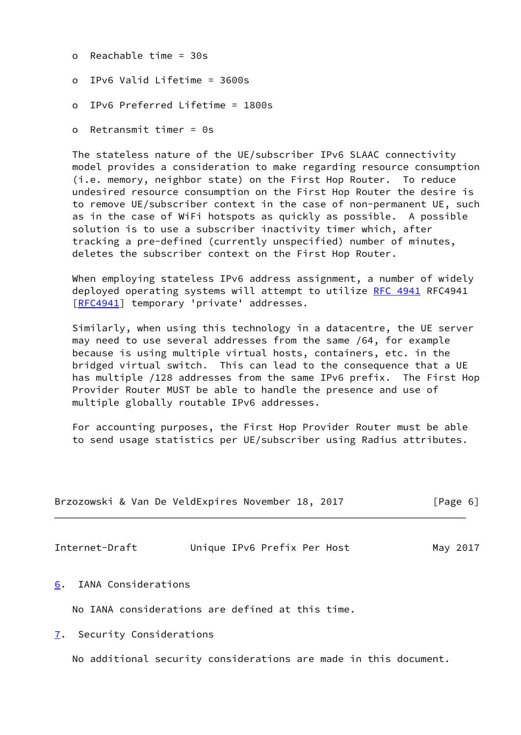- o Reachable time = 30s
- o IPv6 Valid Lifetime = 3600s
- o IPv6 Preferred Lifetime = 1800s
- o Retransmit timer = 0s

 The stateless nature of the UE/subscriber IPv6 SLAAC connectivity model provides a consideration to make regarding resource consumption (i.e. memory, neighbor state) on the First Hop Router. To reduce undesired resource consumption on the First Hop Router the desire is to remove UE/subscriber context in the case of non-permanent UE, such as in the case of WiFi hotspots as quickly as possible. A possible solution is to use a subscriber inactivity timer which, after tracking a pre-defined (currently unspecified) number of minutes, deletes the subscriber context on the First Hop Router.

When employing stateless IPv6 address assignment, a number of widely deployed operating systems will attempt to utilize [RFC 4941](https://datatracker.ietf.org/doc/pdf/rfc4941) RFC4941 [\[RFC4941](https://datatracker.ietf.org/doc/pdf/rfc4941)] temporary 'private' addresses.

 Similarly, when using this technology in a datacentre, the UE server may need to use several addresses from the same /64, for example because is using multiple virtual hosts, containers, etc. in the bridged virtual switch. This can lead to the consequence that a UE has multiple /128 addresses from the same IPv6 prefix. The First Hop Provider Router MUST be able to handle the presence and use of multiple globally routable IPv6 addresses.

 For accounting purposes, the First Hop Provider Router must be able to send usage statistics per UE/subscriber using Radius attributes.

| Brzozowski & Van De VeldExpires November 18, 2017 |  |  | [Page 6] |  |  |
|---------------------------------------------------|--|--|----------|--|--|
|---------------------------------------------------|--|--|----------|--|--|

<span id="page-6-1"></span>Internet-Draft Unique IPv6 Prefix Per Host May 2017

<span id="page-6-0"></span>[6](#page-6-0). IANA Considerations

No IANA considerations are defined at this time.

<span id="page-6-2"></span>[7](#page-6-2). Security Considerations

No additional security considerations are made in this document.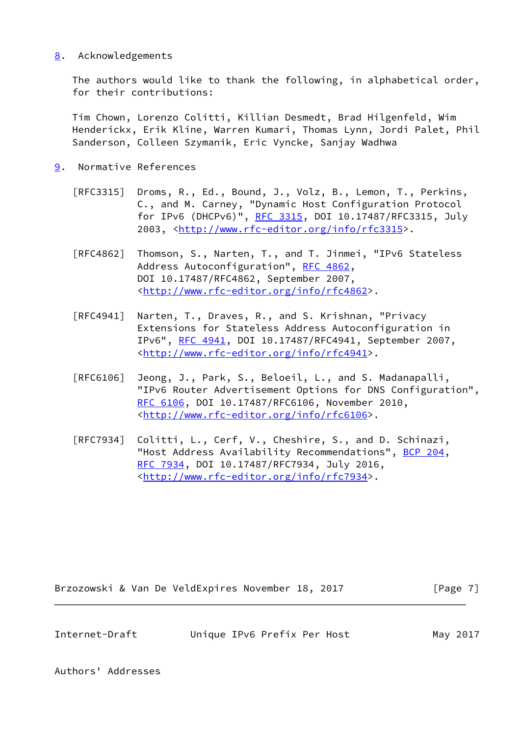# <span id="page-7-0"></span>[8](#page-7-0). Acknowledgements

 The authors would like to thank the following, in alphabetical order, for their contributions:

 Tim Chown, Lorenzo Colitti, Killian Desmedt, Brad Hilgenfeld, Wim Henderickx, Erik Kline, Warren Kumari, Thomas Lynn, Jordi Palet, Phil Sanderson, Colleen Szymanik, Eric Vyncke, Sanjay Wadhwa

- <span id="page-7-1"></span>[9](#page-7-1). Normative References
	- [RFC3315] Droms, R., Ed., Bound, J., Volz, B., Lemon, T., Perkins, C., and M. Carney, "Dynamic Host Configuration Protocol for IPv6 (DHCPv6)", [RFC 3315,](https://datatracker.ietf.org/doc/pdf/rfc3315) DOI 10.17487/RFC3315, July 2003, [<http://www.rfc-editor.org/info/rfc3315](http://www.rfc-editor.org/info/rfc3315)>.
	- [RFC4862] Thomson, S., Narten, T., and T. Jinmei, "IPv6 Stateless Address Autoconfiguration", [RFC 4862,](https://datatracker.ietf.org/doc/pdf/rfc4862) DOI 10.17487/RFC4862, September 2007, <<http://www.rfc-editor.org/info/rfc4862>>.
	- [RFC4941] Narten, T., Draves, R., and S. Krishnan, "Privacy Extensions for Stateless Address Autoconfiguration in IPv6", [RFC 4941](https://datatracker.ietf.org/doc/pdf/rfc4941), DOI 10.17487/RFC4941, September 2007, <<http://www.rfc-editor.org/info/rfc4941>>.
	- [RFC6106] Jeong, J., Park, S., Beloeil, L., and S. Madanapalli, "IPv6 Router Advertisement Options for DNS Configuration", [RFC 6106,](https://datatracker.ietf.org/doc/pdf/rfc6106) DOI 10.17487/RFC6106, November 2010, <<http://www.rfc-editor.org/info/rfc6106>>.
	- [RFC7934] Colitti, L., Cerf, V., Cheshire, S., and D. Schinazi, "Host Address Availability Recommendations", [BCP 204](https://datatracker.ietf.org/doc/pdf/bcp204), [RFC 7934,](https://datatracker.ietf.org/doc/pdf/rfc7934) DOI 10.17487/RFC7934, July 2016, <<http://www.rfc-editor.org/info/rfc7934>>.

Brzozowski & Van De VeldExpires November 18, 2017 [Page 7]

<span id="page-7-2"></span>Internet-Draft Unique IPv6 Prefix Per Host May 2017

Authors' Addresses